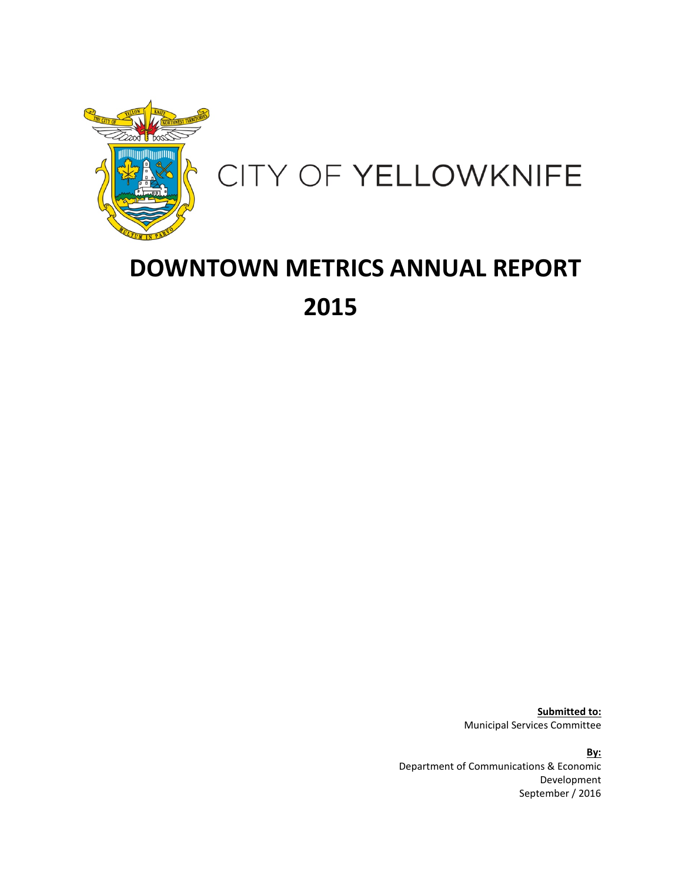

# CITY OF YELLOWKNIFE

# **DOWNTOWN METRICS ANNUAL REPORT 2015**

**Submitted to:** Municipal Services Committee

**By:** Department of Communications & Economic Development September / 2016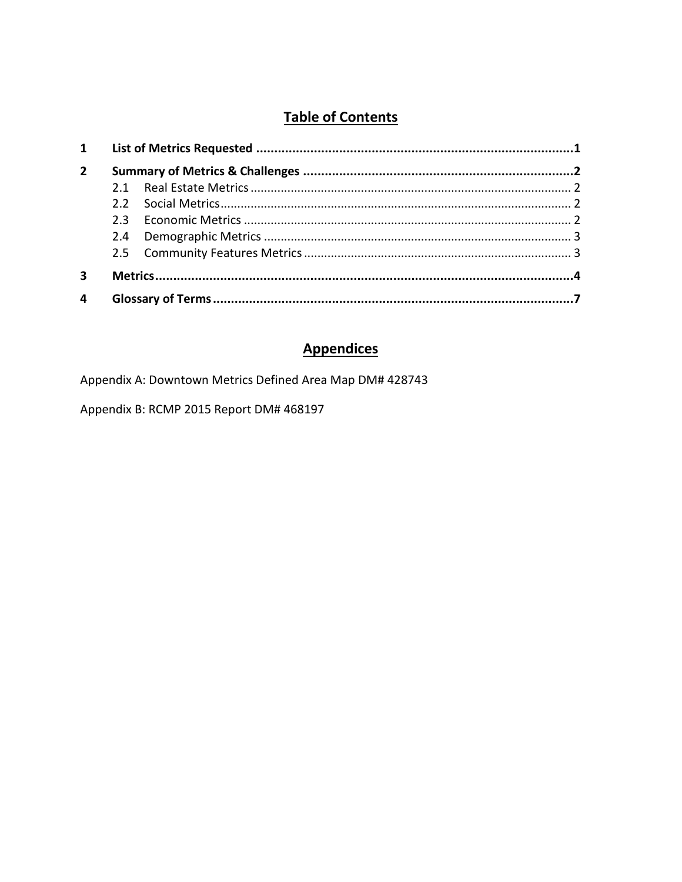# **Table of Contents**

| $\mathbf{1}$   |  |  |  |
|----------------|--|--|--|
| $\overline{2}$ |  |  |  |
|                |  |  |  |
|                |  |  |  |
|                |  |  |  |
|                |  |  |  |
|                |  |  |  |
|                |  |  |  |
| 4              |  |  |  |

## **Appendices**

Appendix A: Downtown Metrics Defined Area Map DM# 428743

Appendix B: RCMP 2015 Report DM# 468197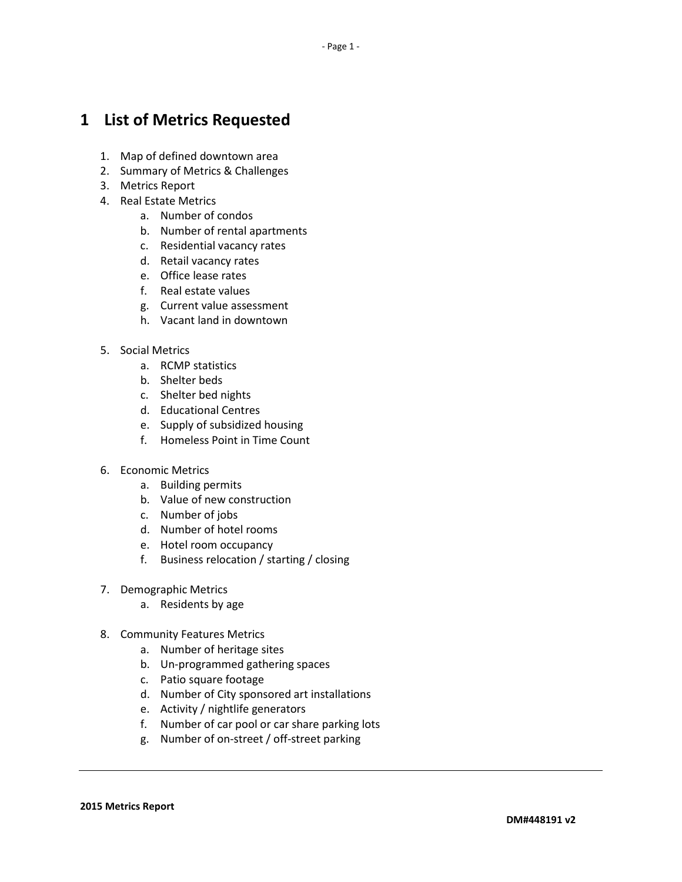# <span id="page-2-0"></span>**1 List of Metrics Requested**

- 1. Map of defined downtown area
- 2. Summary of Metrics & Challenges
- 3. Metrics Report
- 4. Real Estate Metrics
	- a. Number of condos
	- b. Number of rental apartments
	- c. Residential vacancy rates
	- d. Retail vacancy rates
	- e. Office lease rates
	- f. Real estate values
	- g. Current value assessment
	- h. Vacant land in downtown
- 5. Social Metrics
	- a. RCMP statistics
	- b. Shelter beds
	- c. Shelter bed nights
	- d. Educational Centres
	- e. Supply of subsidized housing
	- f. Homeless Point in Time Count
- 6. Economic Metrics
	- a. Building permits
	- b. Value of new construction
	- c. Number of jobs
	- d. Number of hotel rooms
	- e. Hotel room occupancy
	- f. Business relocation / starting / closing
- 7. Demographic Metrics
	- a. Residents by age
- 8. Community Features Metrics
	- a. Number of heritage sites
	- b. Un-programmed gathering spaces
	- c. Patio square footage
	- d. Number of City sponsored art installations
	- e. Activity / nightlife generators
	- f. Number of car pool or car share parking lots
	- g. Number of on-street / off-street parking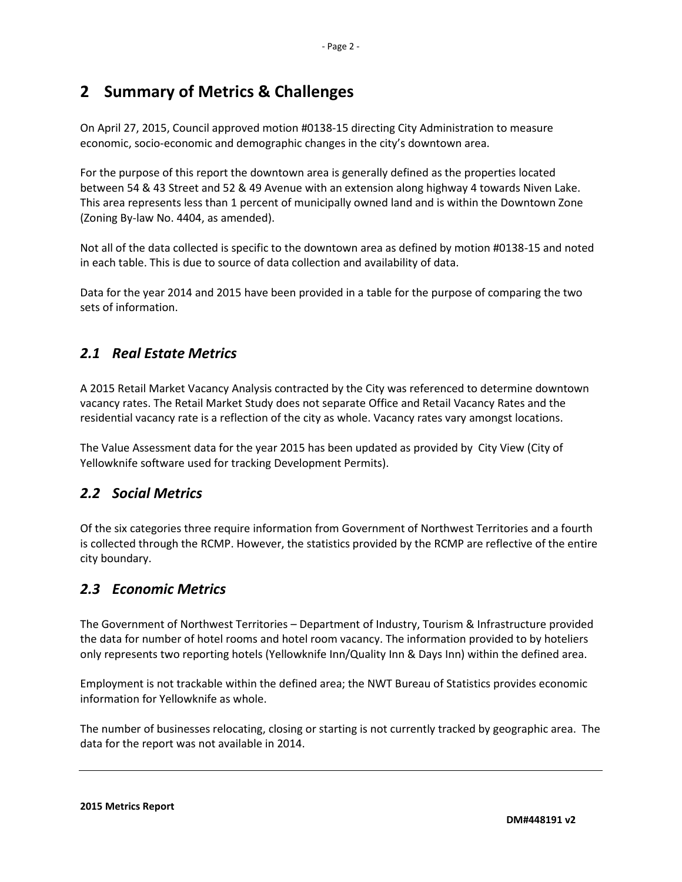# <span id="page-3-0"></span>**2 Summary of Metrics & Challenges**

On April 27, 2015, Council approved motion #0138-15 directing City Administration to measure economic, socio-economic and demographic changes in the city's downtown area.

For the purpose of this report the downtown area is generally defined as the properties located between 54 & 43 Street and 52 & 49 Avenue with an extension along highway 4 towards Niven Lake. This area represents less than 1 percent of municipally owned land and is within the Downtown Zone (Zoning By-law No. 4404, as amended).

Not all of the data collected is specific to the downtown area as defined by motion #0138-15 and noted in each table. This is due to source of data collection and availability of data.

Data for the year 2014 and 2015 have been provided in a table for the purpose of comparing the two sets of information.

## <span id="page-3-1"></span>*2.1 Real Estate Metrics*

A 2015 Retail Market Vacancy Analysis contracted by the City was referenced to determine downtown vacancy rates. The Retail Market Study does not separate Office and Retail Vacancy Rates and the residential vacancy rate is a reflection of the city as whole. Vacancy rates vary amongst locations.

The Value Assessment data for the year 2015 has been updated as provided by City View (City of Yellowknife software used for tracking Development Permits).

## <span id="page-3-2"></span>*2.2 Social Metrics*

Of the six categories three require information from Government of Northwest Territories and a fourth is collected through the RCMP. However, the statistics provided by the RCMP are reflective of the entire city boundary.

## <span id="page-3-3"></span>*2.3 Economic Metrics*

The Government of Northwest Territories – Department of Industry, Tourism & Infrastructure provided the data for number of hotel rooms and hotel room vacancy. The information provided to by hoteliers only represents two reporting hotels (Yellowknife Inn/Quality Inn & Days Inn) within the defined area.

Employment is not trackable within the defined area; the NWT Bureau of Statistics provides economic information for Yellowknife as whole.

The number of businesses relocating, closing or starting is not currently tracked by geographic area. The data for the report was not available in 2014.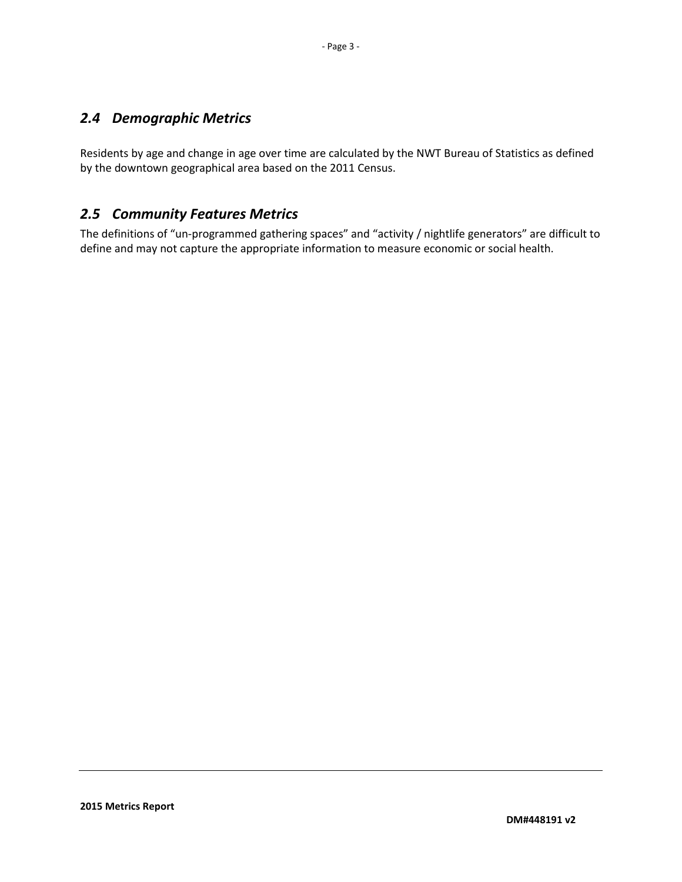## <span id="page-4-0"></span>*2.4 Demographic Metrics*

Residents by age and change in age over time are calculated by the NWT Bureau of Statistics as defined by the downtown geographical area based on the 2011 Census.

### <span id="page-4-1"></span>*2.5 Community Features Metrics*

The definitions of "un-programmed gathering spaces" and "activity / nightlife generators" are difficult to define and may not capture the appropriate information to measure economic or social health.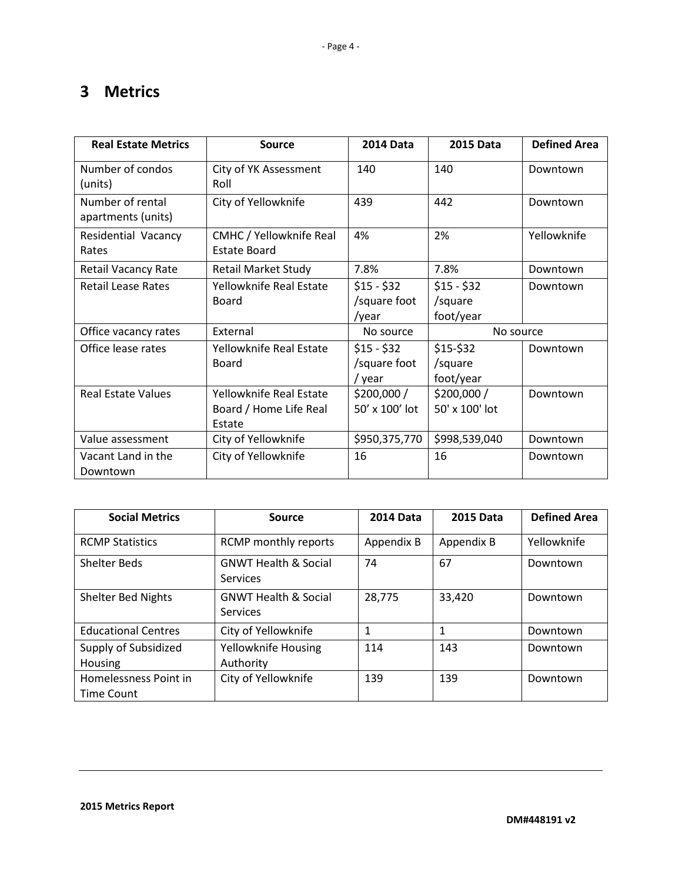# <span id="page-5-0"></span>**3 Metrics**

| <b>Real Estate Metrics</b>             | <b>Source</b>                                               | <b>2014 Data</b>                      | <b>2015 Data</b>                    | <b>Defined Area</b> |
|----------------------------------------|-------------------------------------------------------------|---------------------------------------|-------------------------------------|---------------------|
| Number of condos<br>(units)            | City of YK Assessment<br>Roll                               | 140                                   | 140                                 | Downtown            |
| Number of rental<br>apartments (units) | City of Yellowknife                                         | 439                                   | 442                                 | Downtown            |
| Residential Vacancy<br>Rates           | <b>CMHC</b> / Yellowknife Real<br><b>Estate Board</b>       | 4%                                    | 2%                                  | Yellowknife         |
| <b>Retail Vacancy Rate</b>             | <b>Retail Market Study</b>                                  | 7.8%                                  | 7.8%                                | Downtown            |
| <b>Retail Lease Rates</b>              | Yellowknife Real Estate<br>Board                            | $$15 - $32$<br>/square foot<br>/year  | $$15 - $32$<br>/square<br>foot/year | Downtown            |
| Office vacancy rates                   | External                                                    | No source                             | No source                           |                     |
| Office lease rates                     | Yellowknife Real Estate<br>Board                            | $$15 - $32$<br>/square foot<br>/ vear | $$15-$32$<br>/square<br>foot/year   | Downtown            |
| <b>Real Estate Values</b>              | Yellowknife Real Estate<br>Board / Home Life Real<br>Estate | \$200,000/<br>50' x 100' lot          | \$200,000 /<br>50' x 100' lot       | Downtown            |
| Value assessment                       | City of Yellowknife                                         | \$950,375,770                         | \$998,539,040                       | Downtown            |
| Vacant Land in the<br>Downtown         | City of Yellowknife                                         | 16                                    | 16                                  | Downtown            |

| <b>Social Metrics</b>                      | <b>Source</b>                                      | <b>2014 Data</b> | <b>2015 Data</b> | <b>Defined Area</b> |
|--------------------------------------------|----------------------------------------------------|------------------|------------------|---------------------|
| <b>RCMP Statistics</b>                     | RCMP monthly reports                               | Appendix B       | Appendix B       | Yellowknife         |
| <b>Shelter Beds</b>                        | <b>GNWT Health &amp; Social</b><br><b>Services</b> | 74               | 67               | Downtown            |
| <b>Shelter Bed Nights</b>                  | <b>GNWT Health &amp; Social</b><br><b>Services</b> | 28,775           | 33,420           | Downtown            |
| <b>Educational Centres</b>                 | City of Yellowknife                                |                  | 1                | Downtown            |
| Supply of Subsidized<br>Housing            | Yellowknife Housing<br>Authority                   | 114              | 143              | Downtown            |
| Homelessness Point in<br><b>Time Count</b> | City of Yellowknife                                | 139              | 139              | Downtown            |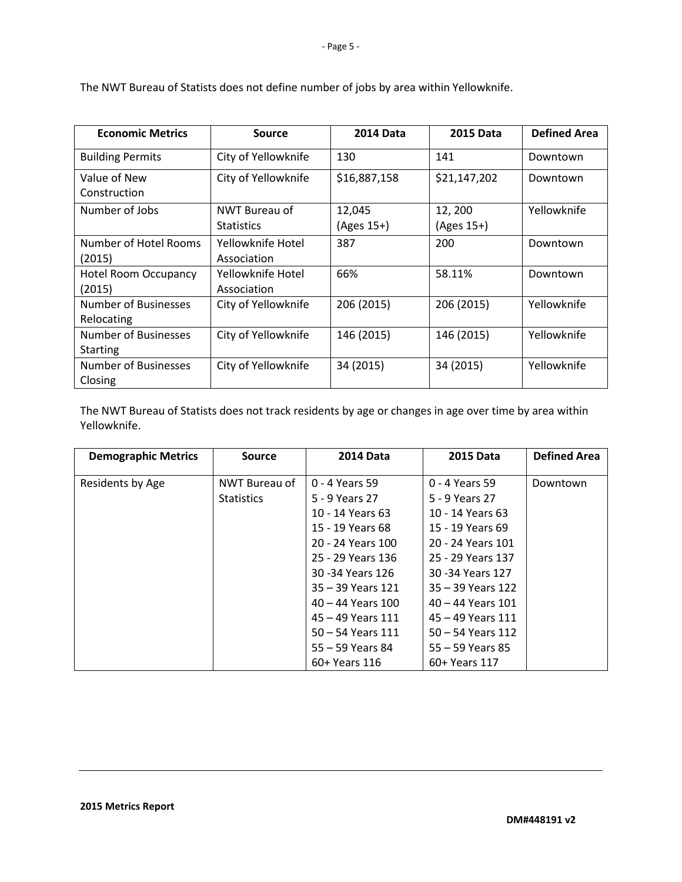| <b>Economic Metrics</b>                 | Source                             | <b>2014 Data</b>     | <b>2015 Data</b>        | <b>Defined Area</b> |
|-----------------------------------------|------------------------------------|----------------------|-------------------------|---------------------|
| <b>Building Permits</b>                 | City of Yellowknife                | 130                  | 141                     | Downtown            |
| Value of New<br>Construction            | City of Yellowknife                | \$16,887,158         | \$21,147,202            | Downtown            |
| Number of Jobs                          | NWT Bureau of<br><b>Statistics</b> | 12,045<br>(Ages 15+) | 12, 200<br>$(Ages 15+)$ | Yellowknife         |
| Number of Hotel Rooms<br>(2015)         | Yellowknife Hotel<br>Association   | 387                  | 200                     | Downtown            |
| <b>Hotel Room Occupancy</b><br>(2015)   | Yellowknife Hotel<br>Association   | 66%                  | 58.11%                  | Downtown            |
| Number of Businesses<br>Relocating      | City of Yellowknife                | 206 (2015)           | 206 (2015)              | Yellowknife         |
| Number of Businesses<br><b>Starting</b> | City of Yellowknife                | 146 (2015)           | 146 (2015)              | Yellowknife         |
| Number of Businesses<br>Closing         | City of Yellowknife                | 34 (2015)            | 34 (2015)               | Yellowknife         |

The NWT Bureau of Statists does not define number of jobs by area within Yellowknife.

The NWT Bureau of Statists does not track residents by age or changes in age over time by area within Yellowknife.

| <b>Demographic Metrics</b> | <b>Source</b>     | <b>2014 Data</b>      | <b>2015 Data</b>      | <b>Defined Area</b> |
|----------------------------|-------------------|-----------------------|-----------------------|---------------------|
| Residents by Age           | NWT Bureau of     | 0 - 4 Years 59        | 0 - 4 Years 59        | Downtown            |
|                            | <b>Statistics</b> | 5 - 9 Years 27        | 5 - 9 Years 27        |                     |
|                            |                   | 10 - 14 Years 63      | 10 - 14 Years 63      |                     |
|                            |                   | 15 - 19 Years 68      | 15 - 19 Years 69      |                     |
|                            |                   | 20 - 24 Years 100     | 20 - 24 Years 101     |                     |
|                            |                   | 25 - 29 Years 136     | 25 - 29 Years 137     |                     |
|                            |                   | 30 -34 Years 126      | 30 - 34 Years 127     |                     |
|                            |                   | $35 - 39$ Years 121   | 35 – 39 Years 122     |                     |
|                            |                   | $40 - 44$ Years $100$ | $40 - 44$ Years $101$ |                     |
|                            |                   | $45 - 49$ Years 111   | $45 - 49$ Years 111   |                     |
|                            |                   | $50 - 54$ Years 111   | $50 - 54$ Years 112   |                     |
|                            |                   | 55 – 59 Years 84      | $55 - 59$ Years 85    |                     |
|                            |                   | 60+ Years 116         | 60+ Years 117         |                     |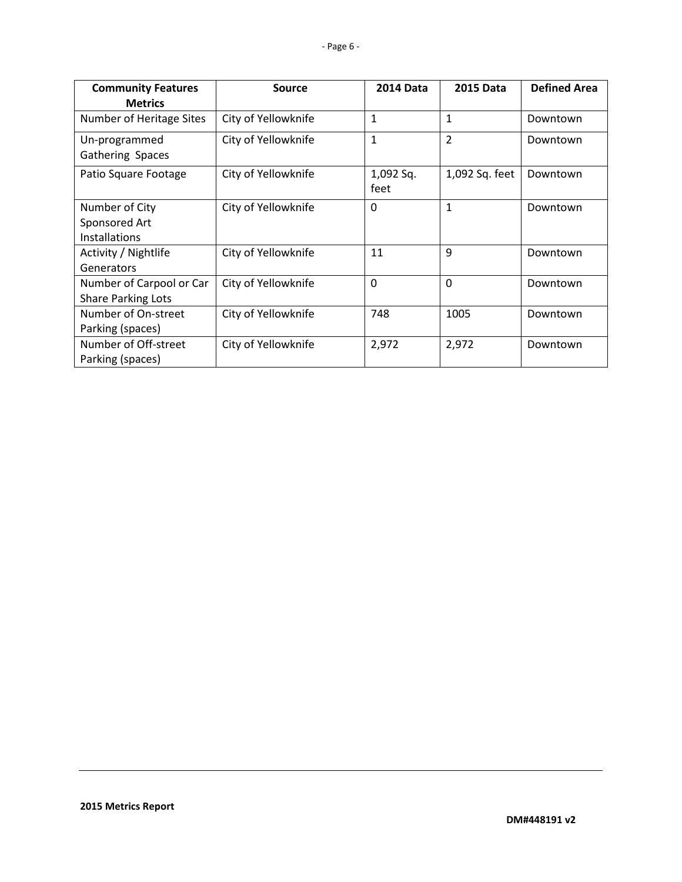| <b>Community Features</b> | <b>Source</b>       | <b>2014 Data</b> | <b>2015 Data</b> | <b>Defined Area</b> |
|---------------------------|---------------------|------------------|------------------|---------------------|
| <b>Metrics</b>            |                     |                  |                  |                     |
| Number of Heritage Sites  | City of Yellowknife | 1                | 1                | Downtown            |
| Un-programmed             | City of Yellowknife | $\mathbf{1}$     | $\overline{2}$   | Downtown            |
| Gathering Spaces          |                     |                  |                  |                     |
| Patio Square Footage      | City of Yellowknife | 1,092 Sq.        | 1,092 Sq. feet   | Downtown            |
|                           |                     | feet             |                  |                     |
| Number of City            | City of Yellowknife | $\Omega$         | $\mathbf{1}$     | Downtown            |
| Sponsored Art             |                     |                  |                  |                     |
| <b>Installations</b>      |                     |                  |                  |                     |
| Activity / Nightlife      | City of Yellowknife | 11               | 9                | Downtown            |
| Generators                |                     |                  |                  |                     |
| Number of Carpool or Car  | City of Yellowknife | $\mathbf{0}$     | $\overline{0}$   | Downtown            |
| <b>Share Parking Lots</b> |                     |                  |                  |                     |
| Number of On-street       | City of Yellowknife | 748              | 1005             | Downtown            |
| Parking (spaces)          |                     |                  |                  |                     |
| Number of Off-street      | City of Yellowknife | 2,972            | 2,972            | Downtown            |
| Parking (spaces)          |                     |                  |                  |                     |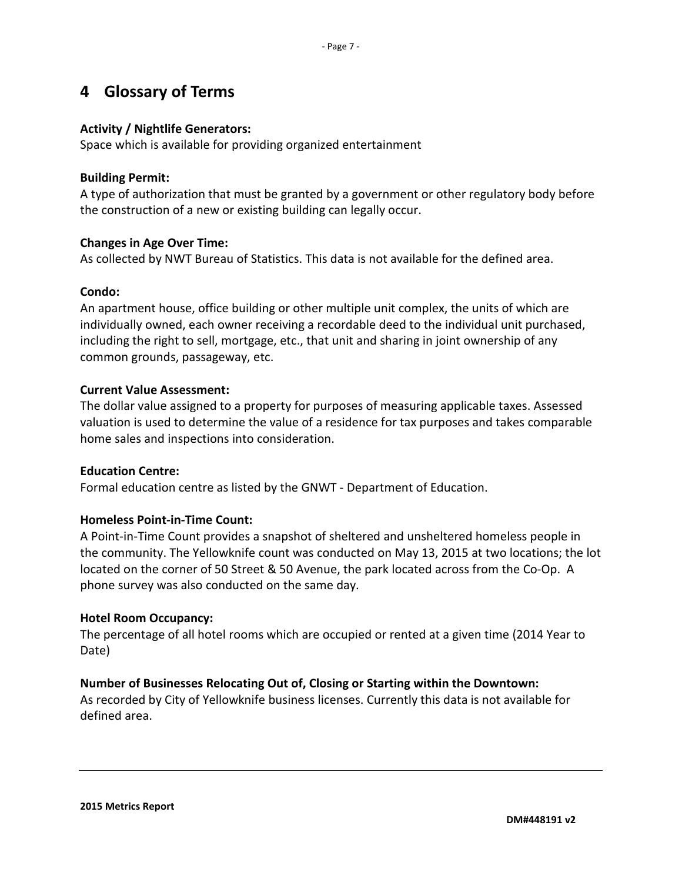# <span id="page-8-0"></span>**4 Glossary of Terms**

#### **Activity / Nightlife Generators:**

Space which is available for providing organized entertainment

#### **Building Permit:**

A type of authorization that must be granted by a government or other regulatory body before the construction of a new or existing building can legally occur.

#### **Changes in Age Over Time:**

As collected by NWT Bureau of Statistics. This data is not available for the defined area.

#### **Condo:**

An apartment house, office building or other multiple unit complex, the units of which are individually owned, each owner receiving a recordable deed to the individual unit purchased, including the right to sell, mortgage, etc., that unit and sharing in joint ownership of any common grounds, passageway, etc.

#### **Current Value Assessment:**

The dollar value assigned to a property for purposes of measuring applicable taxes. Assessed valuation is used to determine the value of a residence for tax purposes and takes comparable home sales and inspections into consideration.

#### **Education Centre:**

Formal education centre as listed by the GNWT - Department of Education.

#### **Homeless Point-in-Time Count:**

A Point-in-Time Count provides a snapshot of sheltered and unsheltered homeless people in the community. The Yellowknife count was conducted on May 13, 2015 at two locations; the lot located on the corner of 50 Street & 50 Avenue, the park located across from the Co-Op. A phone survey was also conducted on the same day.

#### **Hotel Room Occupancy:**

The percentage of all hotel rooms which are occupied or rented at a given time (2014 Year to Date)

#### **Number of Businesses Relocating Out of, Closing or Starting within the Downtown:**

As recorded by City of Yellowknife business licenses. Currently this data is not available for defined area.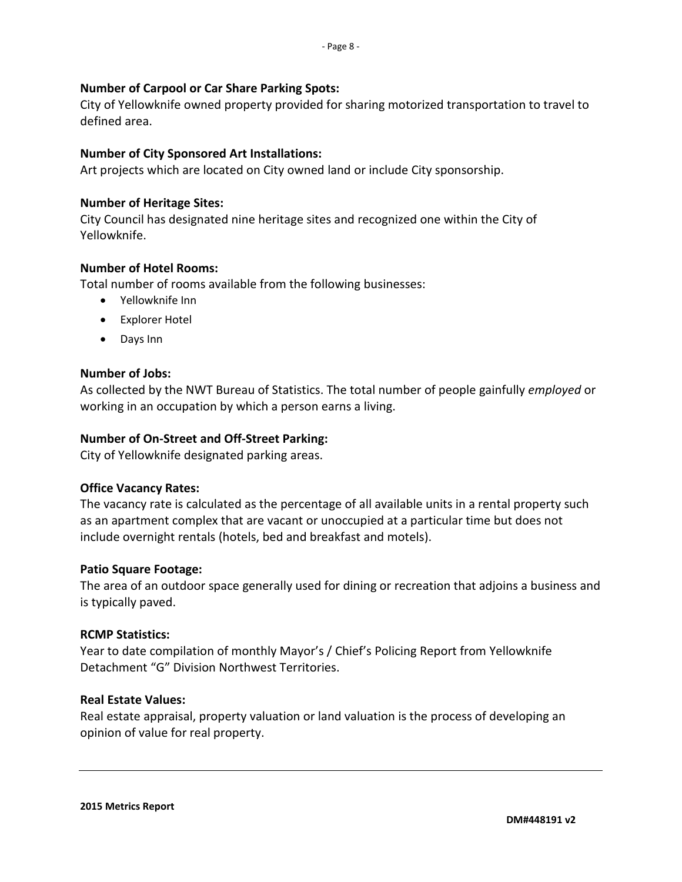#### **Number of Carpool or Car Share Parking Spots:**

City of Yellowknife owned property provided for sharing motorized transportation to travel to defined area.

#### **Number of City Sponsored Art Installations:**

Art projects which are located on City owned land or include City sponsorship.

#### **Number of Heritage Sites:**

City Council has designated nine heritage sites and recognized one within the City of Yellowknife.

#### **Number of Hotel Rooms:**

Total number of rooms available from the following businesses:

- Yellowknife Inn
- Explorer Hotel
- Days Inn

#### **Number of Jobs:**

As collected by the NWT Bureau of Statistics. The total number of people gainfully *employed* or working in an occupation by which a person earns a living.

#### **Number of On-Street and Off-Street Parking:**

City of Yellowknife designated parking areas.

#### **Office Vacancy Rates:**

The vacancy rate is calculated as the percentage of all available units in a rental property such as an apartment complex that are vacant or unoccupied at a particular time but does not include overnight rentals (hotels, bed and breakfast and motels).

#### **Patio Square Footage:**

The area of an outdoor space generally used for dining or recreation that adjoins a business and is typically paved.

#### **RCMP Statistics:**

Year to date compilation of monthly Mayor's / Chief's Policing Report from Yellowknife Detachment "G" Division Northwest Territories.

#### **Real Estate Values:**

Real estate appraisal, property valuation or land valuation is the process of developing an opinion of value for real property.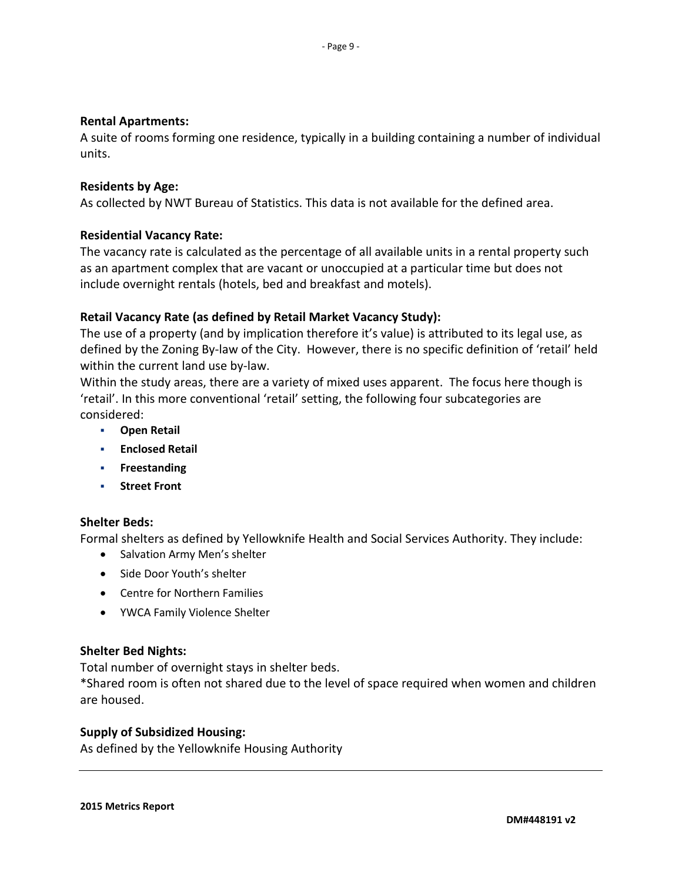#### **Rental Apartments:**

A suite of rooms forming one residence, typically in a building containing a number of individual units.

#### **Residents by Age:**

As collected by NWT Bureau of Statistics. This data is not available for the defined area.

#### **Residential Vacancy Rate:**

The vacancy rate is calculated as the percentage of all available units in a rental property such as an apartment complex that are vacant or unoccupied at a particular time but does not include overnight rentals (hotels, bed and breakfast and motels).

#### **Retail Vacancy Rate (as defined by Retail Market Vacancy Study):**

The use of a property (and by implication therefore it's value) is attributed to its legal use, as defined by the Zoning By-law of the City. However, there is no specific definition of 'retail' held within the current land use by-law.

Within the study areas, there are a variety of mixed uses apparent. The focus here though is 'retail'. In this more conventional 'retail' setting, the following four subcategories are considered:

- **Open Retail**
- **Enclosed Retail**
- **Freestanding**
- **Street Front**

#### **Shelter Beds:**

Formal shelters as defined by Yellowknife Health and Social Services Authority. They include:

- Salvation Army Men's shelter
- Side Door Youth's shelter
- Centre for Northern Families
- YWCA Family Violence Shelter

#### **Shelter Bed Nights:**

Total number of overnight stays in shelter beds.

\*Shared room is often not shared due to the level of space required when women and children are housed.

#### **Supply of Subsidized Housing:**

As defined by the Yellowknife Housing Authority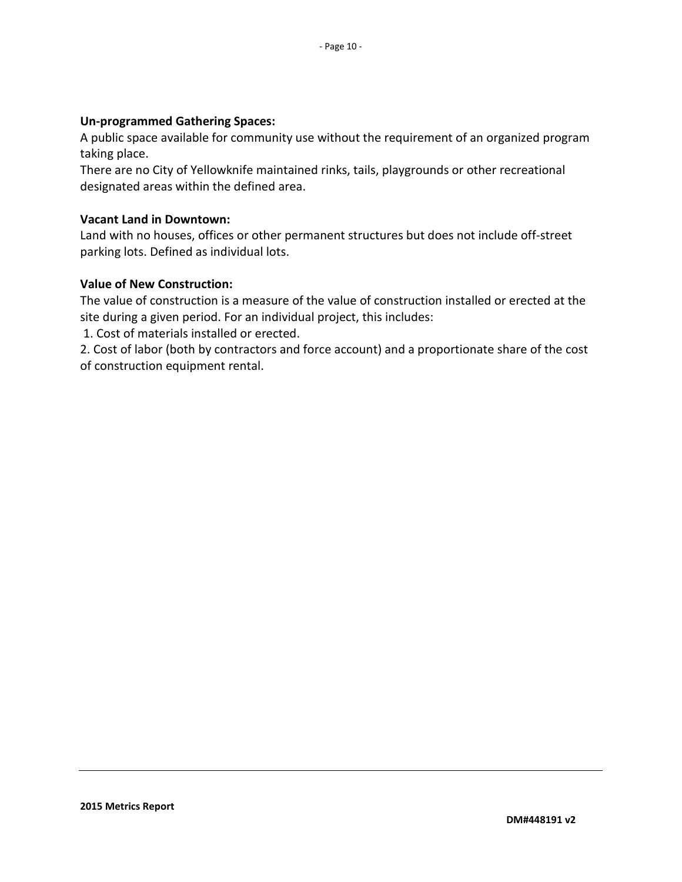#### **Un-programmed Gathering Spaces:**

A public space available for community use without the requirement of an organized program taking place.

There are no City of Yellowknife maintained rinks, tails, playgrounds or other recreational designated areas within the defined area.

#### **Vacant Land in Downtown:**

Land with no houses, offices or other permanent structures but does not include off-street parking lots. Defined as individual lots.

#### **Value of New Construction:**

The value of construction is a measure of the value of construction installed or erected at the site during a given period. For an individual project, this includes:

1. Cost of materials installed or erected.

2. Cost of labor (both by contractors and force account) and a proportionate share of the cost of construction equipment rental.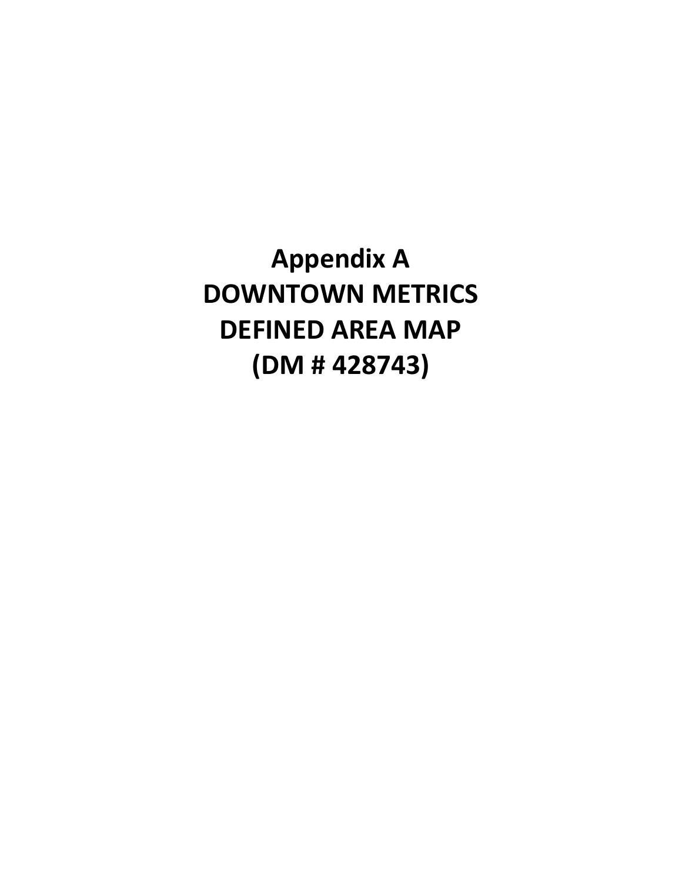**Appendix A DOWNTOWN METRICS DEFINED AREA MAP (DM # 428743)**